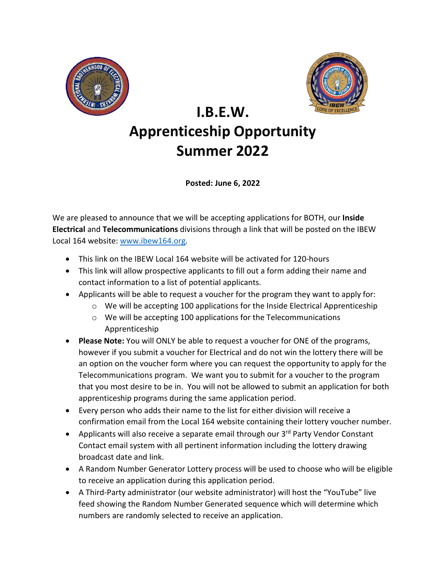



## **I.B.E.W. Apprenticeship Opportunity Summer 2022**

**Posted: June 6, 2022**

We are pleased to announce that we will be accepting applications for BOTH, our **Inside Electrical** and **Telecommunications** divisions through a link that will be posted on the IBEW Local 164 website: [www.ibew164.org.](http://www.ibew164.org/)

- This link on the IBEW Local 164 website will be activated for 120-hours
- This link will allow prospective applicants to fill out a form adding their name and contact information to a list of potential applicants.
- Applicants will be able to request a voucher for the program they want to apply for:
	- $\circ$  We will be accepting 100 applications for the Inside Electrical Apprenticeship
	- o We will be accepting 100 applications for the Telecommunications Apprenticeship
- **Please Note:** You will ONLY be able to request a voucher for ONE of the programs, however if you submit a voucher for Electrical and do not win the lottery there will be an option on the voucher form where you can request the opportunity to apply for the Telecommunications program. We want you to submit for a voucher to the program that you most desire to be in. You will not be allowed to submit an application for both apprenticeship programs during the same application period.
- Every person who adds their name to the list for either division will receive a confirmation email from the Local 164 website containing their lottery voucher number.
- Applicants will also receive a separate email through our 3<sup>rd</sup> Party Vendor Constant Contact email system with all pertinent information including the lottery drawing broadcast date and link.
- A Random Number Generator Lottery process will be used to choose who will be eligible to receive an application during this application period.
- A Third-Party administrator (our website administrator) will host the "YouTube" live feed showing the Random Number Generated sequence which will determine which numbers are randomly selected to receive an application.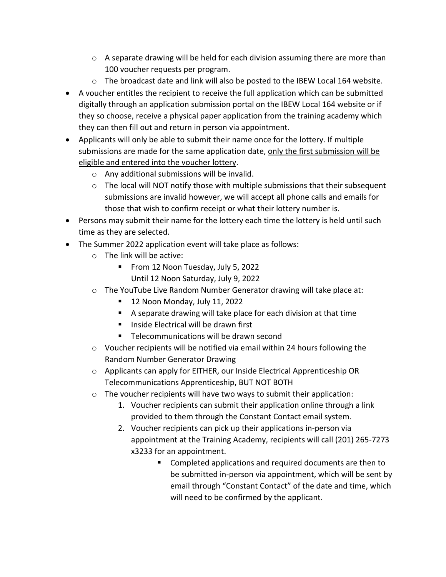- $\circ$  A separate drawing will be held for each division assuming there are more than 100 voucher requests per program.
- $\circ$  The broadcast date and link will also be posted to the IBEW Local 164 website.
- A voucher entitles the recipient to receive the full application which can be submitted digitally through an application submission portal on the IBEW Local 164 website or if they so choose, receive a physical paper application from the training academy which they can then fill out and return in person via appointment.
- Applicants will only be able to submit their name once for the lottery. If multiple submissions are made for the same application date, only the first submission will be eligible and entered into the voucher lottery.
	- o Any additional submissions will be invalid.
	- $\circ$  The local will NOT notify those with multiple submissions that their subsequent submissions are invalid however, we will accept all phone calls and emails for those that wish to confirm receipt or what their lottery number is.
- Persons may submit their name for the lottery each time the lottery is held until such time as they are selected.
- The Summer 2022 application event will take place as follows:
	- o The link will be active:
		- **From 12 Noon Tuesday, July 5, 2022** Until 12 Noon Saturday, July 9, 2022
	- $\circ$  The YouTube Live Random Number Generator drawing will take place at:
		- 12 Noon Monday, July 11, 2022
		- A separate drawing will take place for each division at that time
		- $\blacksquare$  Inside Electrical will be drawn first
		- Telecommunications will be drawn second
	- $\circ$  Voucher recipients will be notified via email within 24 hours following the Random Number Generator Drawing
	- o Applicants can apply for EITHER, our Inside Electrical Apprenticeship OR Telecommunications Apprenticeship, BUT NOT BOTH
	- $\circ$  The voucher recipients will have two ways to submit their application:
		- 1. Voucher recipients can submit their application online through a link provided to them through the Constant Contact email system.
		- 2. Voucher recipients can pick up their applications in-person via appointment at the Training Academy, recipients will call (201) 265-7273 x3233 for an appointment.
			- Completed applications and required documents are then to be submitted in-person via appointment, which will be sent by email through "Constant Contact" of the date and time, which will need to be confirmed by the applicant.